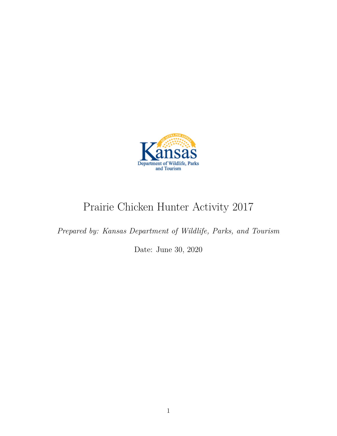

# Prairie Chicken Hunter Activity 2017

*Prepared by: Kansas Department of Wildlife, Parks, and Tourism*

Date: June 30, 2020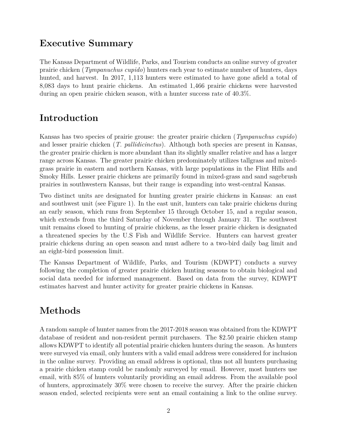### **Executive Summary**

The Kansas Department of Wildlife, Parks, and Tourism conducts an online survey of greater prairie chicken (*Tympanuchus cupido*) hunters each year to estimate number of hunters, days hunted, and harvest. In 2017, 1,113 hunters were estimated to have gone afield a total of 8,083 days to hunt prairie chickens. An estimated 1,466 prairie chickens were harvested during an open prairie chicken season, with a hunter success rate of 40.3%.

## **Introduction**

Kansas has two species of prairie grouse: the greater prairie chicken (*Tympanuchus cupido*) and lesser prairie chicken (*T. pallidicinctus*). Although both species are present in Kansas, the greater prairie chicken is more abundant than its slightly smaller relative and has a larger range across Kansas. The greater prairie chicken predominately utilizes tallgrass and mixedgrass prairie in eastern and northern Kansas, with large populations in the Flint Hills and Smoky Hills. Lesser prairie chickens are primarily found in mixed-grass and sand sagebrush prairies in southwestern Kansas, but their range is expanding into west-central Kansas.

Two distinct units are designated for hunting greater prairie chickens in Kansas: an east and southwest unit (see Figure 1). In the east unit, hunters can take prairie chickens during an early season, which runs from September 15 through October 15, and a regular season, which extends from the third Saturday of November through January 31. The southwest unit remains closed to hunting of prairie chickens, as the lesser prairie chicken is designated a threatened species by the U.S Fish and Wildlife Service. Hunters can harvest greater prairie chickens during an open season and must adhere to a two-bird daily bag limit and an eight-bird possession limit.

The Kansas Department of Wildlife, Parks, and Tourism (KDWPT) conducts a survey following the completion of greater prairie chicken hunting seasons to obtain biological and social data needed for informed management. Based on data from the survey, KDWPT estimates harvest and hunter activity for greater prairie chickens in Kansas.

# **Methods**

A random sample of hunter names from the 2017-2018 season was obtained from the KDWPT database of resident and non-resident permit purchasers. The \$2.50 prairie chicken stamp allows KDWPT to identify all potential prairie chicken hunters during the season. As hunters were surveyed via email, only hunters with a valid email address were considered for inclusion in the online survey. Providing an email address is optional, thus not all hunters purchasing a prairie chicken stamp could be randomly surveyed by email. However, most hunters use email, with 85% of hunters voluntarily providing an email address. From the available pool of hunters, approximately 30% were chosen to receive the survey. After the prairie chicken season ended, selected recipients were sent an email containing a link to the online survey.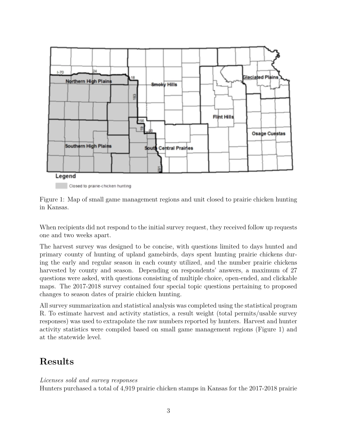

Closed to prairie-chicken hunting

Figure 1: Map of small game management regions and unit closed to prairie chicken hunting in Kansas.

When recipients did not respond to the initial survey request, they received follow up requests one and two weeks apart.

The harvest survey was designed to be concise, with questions limited to days hunted and primary county of hunting of upland gamebirds, days spent hunting prairie chickens during the early and regular season in each county utilized, and the number prairie chickens harvested by county and season. Depending on respondents' answers, a maximum of 27 questions were asked, with questions consisting of multiple choice, open-ended, and clickable maps. The 2017-2018 survey contained four special topic questions pertaining to proposed changes to season dates of prairie chicken hunting.

All survey summarization and statistical analysis was completed using the statistical program R. To estimate harvest and activity statistics, a result weight (total permits/usable survey responses) was used to extrapolate the raw numbers reported by hunters. Harvest and hunter activity statistics were compiled based on small game management regions (Figure 1) and at the statewide level.

### **Results**

#### *Licenses sold and survey responses*

Hunters purchased a total of 4,919 prairie chicken stamps in Kansas for the 2017-2018 prairie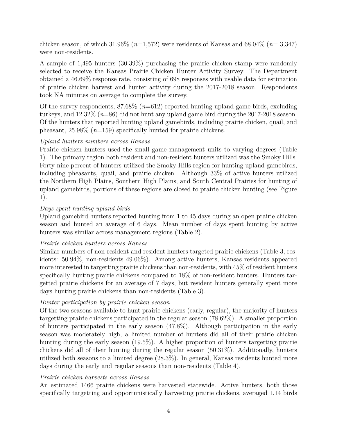chicken season, of which 31.96% (*n*=1,572) were residents of Kansas and 68.04% (*n*= 3,347) were non-residents.

A sample of 1,495 hunters (30.39%) purchasing the prairie chicken stamp were randomly selected to receive the Kansas Prairie Chicken Hunter Activity Survey. The Department obtained a 46.69% response rate, consisting of 698 responses with usable data for estimation of prairie chicken harvest and hunter activity during the 2017-2018 season. Respondents took NA minutes on average to complete the survey.

Of the survey respondents, 87.68% (*n*=612) reported hunting upland game birds, excluding turkeys, and 12.32% (*n*=86) did not hunt any upland game bird during the 2017-2018 season. Of the hunters that reported hunting upland gamebirds, including prairie chicken, quail, and pheasant, 25.98% (*n*=159) specifically hunted for prairie chickens.

#### *Upland hunters numbers across Kansas*

Prairie chicken hunters used the small game management units to varying degrees (Table 1). The primary region both resident and non-resident hunters utilized was the Smoky Hills. Forty-nine percent of hunters utilized the Smoky Hills region for hunting upland gamebirds, including pheasants, quail, and prairie chicken. Although 33% of active hunters utilized the Northern High Plains, Southern High Plains, and South Central Prairies for hunting of upland gamebirds, portions of these regions are closed to prairie chicken hunting (see Figure 1).

#### *Days spent hunting upland birds*

Upland gamebird hunters reported hunting from 1 to 45 days during an open prairie chicken season and hunted an average of 6 days. Mean number of days spent hunting by active hunters was similar across management regions (Table 2).

#### *Prairie chicken hunters across Kansas*

Similar numbers of non-resident and resident hunters targeted prairie chickens (Table 3, residents: 50.94%, non-residents 49.06%). Among active hunters, Kansas residents appeared more interested in targetting prairie chickens than non-residents, with 45% of resident hunters specifically hunting prairie chickens compared to 18% of non-resident hunters. Hunters targetted prairie chickens for an average of 7 days, but resident hunters generally spent more days hunting prairie chickens than non-residents (Table 3).

#### *Hunter participation by prairie chicken season*

Of the two seasons available to hunt prairie chickens (early, regular), the majority of hunters targetting prairie chickens participated in the regular season (78.62%). A smaller proportion of hunters participated in the early season (47.8%). Although participation in the early season was moderately high, a limited number of hunters did all of their prairie chicken hunting during the early season (19.5%). A higher proportion of hunters targetting prairie chickens did all of their hunting during the regular season (50.31%). Additionally, hunters utilized both seasons to a limited degree (28.3%). In general, Kansas residents hunted more days during the early and regular seasons than non-residents (Table 4).

#### *Prairie chicken harvests across Kansas*

An estimated 1466 prairie chickens were harvested statewide. Active hunters, both those specifically targetting and opportunistically harvesting prairie chickens, averaged 1.14 birds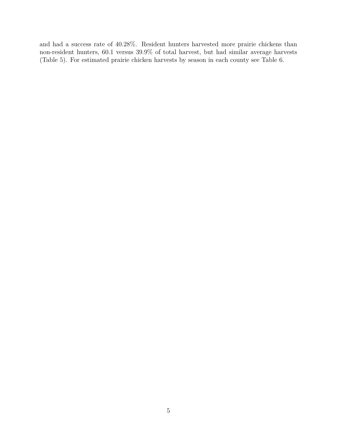and had a success rate of 40.28%. Resident hunters harvested more prairie chickens than non-resident hunters, 60.1 versus 39.9% of total harvest, but had similar average harvests (Table 5). For estimated prairie chicken harvests by season in each county see Table 6.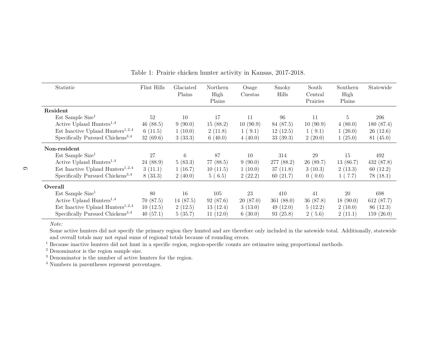| Statistic                                    | Flint Hills | Glaciated<br>Plains | Northern<br>High<br>Plains | Osage<br>Cuestas | Smoky<br>Hills | South<br>Central<br>Prairies | Southern<br>High<br>Plains | Statewide  |
|----------------------------------------------|-------------|---------------------|----------------------------|------------------|----------------|------------------------------|----------------------------|------------|
| Resident                                     |             |                     |                            |                  |                |                              |                            |            |
| $Est$ Sample Size <sup>1</sup>               | 52          | 10                  | 17                         | 11               | 96             | 11                           | $\overline{5}$             | 206        |
| Active Upland Hunters <sup>1,4</sup>         | 46(88.5)    | 9(90.0)             | 15(88.2)                   | 10(90.9)         | 84 (87.5)      | 10(90.9)                     | 4(80.0)                    | 180 (87.4) |
| Est Inactive Upland Hunters <sup>1,2,4</sup> | 6(11.5)     | 1(10.0)             | 2(11.8)                    | 1(9.1)           | 12(12.5)       | 1(9.1)                       | 1(20.0)                    | 26(12.6)   |
| Specifically Pursued Chickens <sup>3,4</sup> | 32(69.6)    | 3(33.3)             | 6(40.0)                    | 4(40.0)          | 33(39.3)       | 2(20.0)                      | 1(25.0)                    | 81(45.0)   |
| Non-resident                                 |             |                     |                            |                  |                |                              |                            |            |
| $Est$ Sample Size <sup>1</sup>               | 27          | 6                   | 87                         | 10               | 314            | 29                           | 15                         | 492        |
| Active Upland Hunters <sup>1,4</sup>         | 24(88.9)    | 5(83.3)             | 77 (88.5)                  | 9(90.0)          | 277 (88.2)     | 26(89.7)                     | 13(86.7)                   | 432(87.8)  |
| Est Inactive Upland Hunters <sup>1,2,4</sup> | 3(11.1)     | 1(16.7)             | 10(11.5)                   | 1(10.0)          | 37(11.8)       | 3(10.3)                      | 2(13.3)                    | 60(12.2)   |
| Specifically Pursued Chickens <sup>3,4</sup> | 8(33.3)     | 2(40.0)             | 5(6.5)                     | 2(22.2)          | 60(21.7)       | 0(0.0)                       | 1(7.7)                     | 78(18.1)   |
| Overall                                      |             |                     |                            |                  |                |                              |                            |            |
| $Est$ Sample Size <sup>1</sup>               | 80          | 16                  | 105                        | 23               | 410            | 41                           | 20                         | 698        |
| Active Upland Hunters <sup>1,4</sup>         | 70(87.5)    | 14 (87.5)           | 92(87.6)                   | 20(87.0)         | 361(88.0)      | 36(87.8)                     | 18(90.0)                   | 612 (87.7) |
| Est Inactive Upland Hunters <sup>1,2,4</sup> | 10(12.5)    | 2(12.5)             | 13(12.4)                   | 3(13.0)          | 49(12.0)       | 5(12.2)                      | 2(10.0)                    | 86 (12.3)  |
| Specifically Pursued Chickens <sup>3,4</sup> | 40(57.1)    | 5(35.7)             | 11(12.0)                   | 6(30.0)          | 93(25.8)       | 2(5.6)                       | 2(11.1)                    | 159(26.0)  |

Table 1: Prairie chicken hunter activity in Kansas, 2017-2018.

 Some active hunters did not specify the primary region they hunted and are therefore only included in the satewide total. Additionally, statewideand overall totals may not equal sums of regional totals because of rounding errors.

<sup>1</sup> Because inactive hunters did not hunt in a specific region, region-specific counts are estimates using proportional methods.

2 Denominator is the region sample size.

<sup>3</sup> Denominator is the number of active hunters for the region.

<sup>4</sup> Numbers in parentheses represent percentages.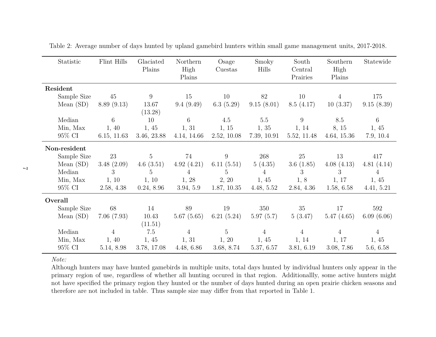| Statistic    | Flint Hills    | Glaciated<br>Plains | Northern<br>High<br>Plains | Osage<br>Cuestas | Smoky<br>Hills | South<br>Central<br>Prairies | Southern<br>High<br>Plains | Statewide      |
|--------------|----------------|---------------------|----------------------------|------------------|----------------|------------------------------|----------------------------|----------------|
| Resident     |                |                     |                            |                  |                |                              |                            |                |
| Sample Size  | 45             | 9                   | 15                         | 10               | 82             | 10                           | 4                          | 175            |
| Mean $(SD)$  | 8.89(9.13)     | 13.67<br>(13.28)    | 9.4(9.49)                  | 6.3 $(5.29)$     | 9.15(8.01)     | 8.5(4.17)                    | 10(3.37)                   | 9.15(8.39)     |
| Median       | 6              | 10                  | 6                          | 4.5              | 5.5            | 9                            | 8.5                        | 6              |
| Min, Max     | 1, 40          | 1,45                | 1, 31                      | 1, 15            | 1, 35          | 1, 14                        | 8, 15                      | 1,45           |
| 95% CI       | 6.15, 11.63    | 3.46, 23.88         | 4.14, 14.66                | 2.52, 10.08      | 7.39, 10.91    | 5.52, 11.48                  | 4.64, 15.36                | 7.9, 10.4      |
| Non-resident |                |                     |                            |                  |                |                              |                            |                |
| Sample Size  | 23             | 5 <sup>5</sup>      | 74                         | 9                | 268            | 25                           | 13                         | 417            |
| Mean $(SD)$  | 3.48(2.09)     | 4.6 $(3.51)$        | 4.92(4.21)                 | 6.11 $(5.51)$    | 5(4.35)        | 3.6 $(1.85)$                 | 4.08(4.13)                 | 4.81(4.14)     |
| Median       | 3              | 5                   | 4                          | $5^{\circ}$      | $\overline{4}$ | 3                            | 3                          | $\overline{4}$ |
| Min, Max     | 1, 10          | 1, 10               | 1, 28                      | 2, 20            | 1,45           | 1, 8                         | 1, 17                      | 1,45           |
| 95% CI       | 2.58, 4.38     | 0.24, 8.96          | 3.94, 5.9                  | 1.87, 10.35      | 4.48, 5.52     | 2.84, 4.36                   | 1.58, 6.58                 | 4.41, 5.21     |
| Overall      |                |                     |                            |                  |                |                              |                            |                |
| Sample Size  | 68             | 14                  | 89                         | 19               | 350            | 35                           | 17                         | 592            |
| Mean $(SD)$  | 7.06(7.93)     | 10.43<br>(11.51)    | 5.67(5.65)                 | 6.21 $(5.24)$    | 5.97(5.7)      | 5(3.47)                      | 5.47(4.65)                 | 6.09(6.06)     |
| Median       | $\overline{4}$ | 7.5                 | $\overline{4}$             | $5\overline{)}$  | 4              | $\overline{4}$               | 4                          | $\overline{4}$ |
| Min, Max     | 1, 40          | 1,45                | 1, 31                      | 1, 20            | 1,45           | 1, 14                        | 1, 17                      | 1,45           |
| 95% CI       | 5.14, 8.98     | 3.78, 17.08         | 4.48, 6.86                 | 3.68, 8.74       | 5.37, 6.57     | 3.81, 6.19                   | 3.08, 7.86                 | 5.6, 6.58      |

Table 2: Average number of days hunted by upland gamebird hunters within small game management units, 2017-2018.

 Although hunters may have hunted gamebirds in multiple units, total days hunted by individual hunters only appear in the primary region of use, regardless of whether all hunting occured in that region. Additionallly, some active hunters might not have specified the primary region they hunted or the number of days hunted during an open prairie chicken seasons andtherefore are not included in table. Thus sample size may differ from that reported in Table 1.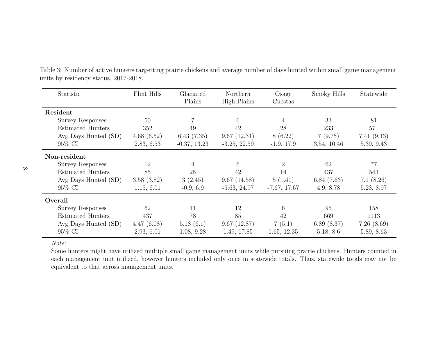| Statistic                | Flint Hills | Glaciated<br>Plains | Northern<br>High Plains | Osage<br>Cuestas | Smoky Hills | Statewide  |
|--------------------------|-------------|---------------------|-------------------------|------------------|-------------|------------|
| Resident                 |             |                     |                         |                  |             |            |
| <b>Survey Responses</b>  | 50          |                     | 6                       | 4                | 33          | 81         |
| <b>Estimated Hunters</b> | 352         | 49                  | 42                      | 28               | 233         | 571        |
| Avg Days Hunted (SD)     | 4.68(6.52)  | 6.43(7.35)          | 9.67(12.31)             | 8(6.22)          | 7(9.75)     | 7.41(9.13) |
| 95% CI                   | 2.83, 6.53  | $-0.37, 13.23$      | $-3.25, 22.59$          | $-1.9, 17.9$     | 3.54, 10.46 | 5.39, 9.43 |
| Non-resident             |             |                     |                         |                  |             |            |
| <b>Survey Responses</b>  | 12          | 4                   | 6                       | 2                | 62          | 77         |
| <b>Estimated Hunters</b> | 85          | 28                  | 42                      | 14               | 437         | 543        |
| Avg Days Hunted (SD)     | 3.58(3.82)  | 3(2.45)             | 9.67(14.58)             | 5(1.41)          | 6.84(7.63)  | 7.1(8.26)  |
| 95% CI                   | 1.15, 6.01  | $-0.9, 6.9$         | $-5.63, 24.97$          | $-7.67, 17.67$   | 4.9, 8.78   | 5.23, 8.97 |
| Overall                  |             |                     |                         |                  |             |            |
| <b>Survey Responses</b>  | 62          | 11                  | 12                      | 6                | 95          | 158        |
| <b>Estimated Hunters</b> | 437         | 78                  | 85                      | 42               | 669         | 1113       |
| Avg Days Hunted (SD)     | 4.47(6.08)  | 5.18(6.1)           | 9.67(12.87)             | 7(5.1)           | 6.89(8.37)  | 7.26(8.69) |
| 95% CI                   | 2.93, 6.01  | 1.08, 9.28          | 1.49, 17.85             | 1.65, 12.35      | 5.18, 8.6   | 5.89, 8.63 |

Table 3: Number of active hunters targetting prairie chickens and average number of days hunted within small game managementunits by residency status, 2017-2018.

*Note:*

 Some hunters might have utilized multiple small game management units while pursuing prairie chickens. Hunters counted in each management unit utilized, however hunters included only once in statewide totals. Thus, statewide totals may not beequivalent to that across management units.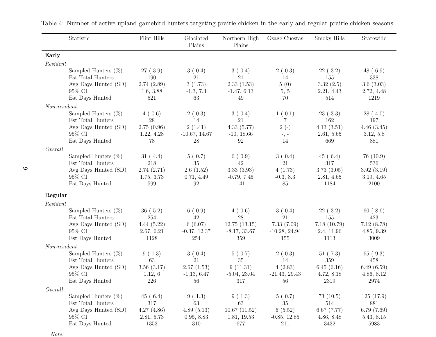|                | Statistic                                   | Flint Hills      | Glaciated<br>Plains | Northern High<br>Plains | Osage Cuestas         | Smoky Hills        | Statewide          |
|----------------|---------------------------------------------|------------------|---------------------|-------------------------|-----------------------|--------------------|--------------------|
| Early          |                                             |                  |                     |                         |                       |                    |                    |
| Resident       |                                             |                  |                     |                         |                       |                    |                    |
|                | Sampled Hunters $(\%)$                      | 27(3.9)          | 3(0.4)              | 3(0.4)                  | 2(0.3)                | 22(3.2)            | 48(6.9)            |
|                | Est Total Hunters                           | 190              | 21                  | 21                      | 14                    | 155                | 338                |
|                | Avg Days Hunted (SD)                        | 2.74(2.89)       | 3(1.73)             | 2.33(1.53)              | 5(0)                  | 3.32(2.5)          | 3.6(3.03)          |
|                | 95% CI                                      | 1.6, 3.88        | $-1.3, 7.3$         | $-1.47, 6.13$           | 5, 5                  | 2.21, 4.43         | 2.72, 4.48         |
|                | Est Days Hunted                             | 521              | 63                  | 49                      | 70                    | 514                | 1219               |
| $Non-resident$ |                                             |                  |                     |                         |                       |                    |                    |
|                | Sampled Hunters $(\%)$                      | 4(0.6)           | 2(0.3)              | 3(0.4)                  | 1(0.1)                | 23(3.3)            | 28(4.0)            |
|                | Est Total Hunters<br>Avg Days Hunted (SD)   | 28<br>2.75(0.96) | 14<br>2(1.41)       | 21<br>4.33(5.77)        | 7<br>$2(-)$           | 162<br>4.13(3.51)  | 197<br>4.46(3.45)  |
|                | 95% CI                                      | 1.22, 4.28       | $-10.67, 14.67$     | $-10, 18.66$            |                       | 2.61, 5.65         | 3.12, 5.8          |
|                | Est Days Hunted                             | 78               | 28                  | 92                      | $-$ , $-$<br>14       | 669                | 881                |
| Overall        |                                             |                  |                     |                         |                       |                    |                    |
|                | Sampled Hunters $(\%)$                      | 31(4.4)          | 5(0.7)              | 6(0.9)                  | 3(0.4)                | 45(6.4)            | 76(10.9)           |
|                | Est Total Hunters                           | 218              | 35                  | 42                      | 21                    | 317                | 536                |
|                | Avg Days Hunted (SD)                        | 2.74(2.71)       | 2.6(1.52)           | 3.33(3.93)              | 4(1.73)               | 3.73(3.05)         | 3.92(3.19)         |
|                | 95% CI                                      | 1.75, 3.73       | 0.71, 4.49          | $-0.79, 7.45$           | $-0.3, 8.3$           | 2.81, 4.65         | 3.19, 4.65         |
|                | Est Days Hunted                             | 599              | 92                  | 141                     | 85                    | 1184               | 2100               |
| Regular        |                                             |                  |                     |                         |                       |                    |                    |
| Resident       |                                             |                  |                     |                         |                       |                    |                    |
|                | Sampled Hunters $(\%)$<br>Est Total Hunters | 36(5.2)<br>254   | 6(0.9)<br>42        | 4(0.6)<br>28            | 3(0.4)<br>21          | 22(3.2)<br>155     | 60(8.6)<br>423     |
|                | Avg Days Hunted (SD)                        | 4.44(5.22)       | 6(6.07)             | 12.75(13.15)            | 7.33(7.09)            | 7.18(10.79)        | 7.12(8.78)         |
|                | 95% CI                                      | 2.67, 6.21       | $-0.37, 12.37$      | $-8.17, 33.67$          | $-10.28, 24.94$       | 2.4, 11.96         | 4.85, 9.39         |
|                | Est Days Hunted                             | 1128             | 254                 | 359                     | 155                   | 1113               | 3009               |
| $Non-resident$ |                                             |                  |                     |                         |                       |                    |                    |
|                | Sampled Hunters $(\%)$                      | 9(1.3)           | 3(0.4)              | 5(0.7)                  | 2(0.3)                | 51(7.3)            | 65(9.3)            |
|                | Est Total Hunters                           | 63               | 21                  | 35                      | 14                    | 359                | 458                |
|                | Avg Days Hunted (SD)                        | 3.56(3.17)       | 2.67(1.53)          | 9(11.31)                | 4(2.83)               | 6.45(6.16)         | 6.49(6.59)         |
|                | $95\%$ CI<br>Est Days Hunted                | 1.12, 6<br>226   | $-1.13, 6.47$<br>56 | $-5.04, 23.04$<br>317   | $-21.43, 29.43$<br>56 | 4.72, 8.18<br>2319 | 4.86, 8.12<br>2974 |
|                |                                             |                  |                     |                         |                       |                    |                    |
| Overall        | Sampled Hunters $(\%)$                      | 45(6.4)          | 9(1.3)              | 9(1.3)                  | 5(0.7)                | 73(10.5)           | 125(17.9)          |
|                | Est Total Hunters                           | $317\,$          | 63                  | 63                      | 35                    | 514                | 881                |
|                | Avg Days Hunted (SD)                        | 4.27(4.86)       | 4.89(5.13)          | 10.67(11.52)            | 6(5.52)               | 6.67(7.77)         | 6.79(7.69)         |
|                | 95% CI                                      | 2.81, 5.73       | 0.95, 8.83          | 1.81, 19.53             | $-0.85, 12.85$        | 4.86, 8.48         | 5.43, 8.15         |
|                | Est Days Hunted                             | 1353             | 310                 | 677                     | 211                   | 3432               | 5983               |

Table 4: Number of active upland gamebird hunters targeting prairie chicken in the early and regular prairie chicken seasons.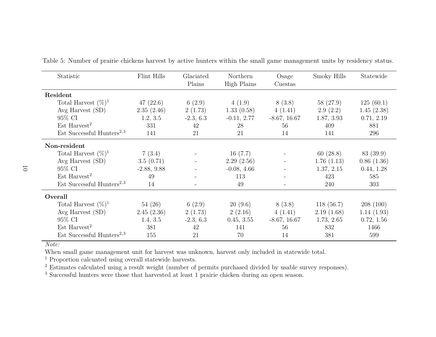| Statistic                             | Flint Hills   | Glaciated<br>Plains | Northern<br>High Plains | Osage<br>Cuestas         | Smoky Hills | Statewide  |
|---------------------------------------|---------------|---------------------|-------------------------|--------------------------|-------------|------------|
| Resident                              |               |                     |                         |                          |             |            |
| Total Harvest $(\%)^1$                | 47(22.6)      | 6(2.9)              | 4(1.9)                  | 8(3.8)                   | 58(27.9)    | 125(60.1)  |
| Avg Harvest (SD)                      | 2.35(2.46)    | 2(1.73)             | 1.33(0.58)              | 4(1.41)                  | 2.9(2.2)    | 1.45(2.38) |
| 95% CI                                | 1.2, 3.5      | $-2.3, 6.3$         | $-0.11, 2.77$           | $-8.67, 16.67$           | 1.87, 3.93  | 0.71, 2.19 |
| $Est$ Harvest <sup>2</sup>            | 331           | 42                  | 28                      | 56                       | 409         | 881        |
| Est Successful Hunters <sup>2,3</sup> | 141           | 21                  | 21                      | 14                       | 141         | 296        |
| Non-resident                          |               |                     |                         |                          |             |            |
| Total Harvest $(\%)^1$                | 7(3.4)        |                     | 16(7.7)                 |                          | 60(28.8)    | 83 (39.9)  |
| Avg Harvest $(SD)$                    | 3.5(0.71)     |                     | 2.29(2.56)              | $\sim$                   | 1.76(1.13)  | 0.86(1.36) |
| 95% CI                                | $-2.88, 9.88$ |                     | $-0.08, 4.66$           | $\overline{\phantom{a}}$ | 1.37, 2.15  | 0.44, 1.28 |
| $Est\;Harvest^2$                      | 49            |                     | 113                     |                          | 423         | 585        |
| Est Successful Hunters <sup>2,3</sup> | 14            |                     | 49                      |                          | 240         | 303        |
| Overall                               |               |                     |                         |                          |             |            |
| Total Harvest $(\%)^1$                | 54(26)        | 6(2.9)              | 20(9.6)                 | 8(3.8)                   | 118(56.7)   | 208(100)   |
| Avg Harvest $(SD)$                    | 2.45(2.36)    | 2(1.73)             | 2(2.16)                 | 4(1.41)                  | 2.19(1.68)  | 1.14(1.93) |
| 95% CI                                | 1.4, 3.5      | $-2.3, 6.3$         | 0.45, 3.55              | $-8.67, 16.67$           | 1.73, 2.65  | 0.72, 1.56 |
| $Est$ Harvest <sup>2</sup>            | 381           | 42                  | 141                     | 56                       | 832         | 1466       |
| Est Successful Hunters <sup>2,3</sup> | 155           | 21                  | 70                      | 14                       | 381         | 599        |

Table 5: Number of prairie chickens harvest by active hunters within the small game management units by residency status.

When small game management unit for harvest was unknown, harvest only included in statewide total.

<sup>1</sup> Proportion calcuated using overall statewide harvests.

<sup>2</sup> Estimates calculated using a result weight (number of permits purchased divided by usable survey responses).

<sup>3</sup> Successful hunters were those that harvested at least 1 prairie chicken during an open season.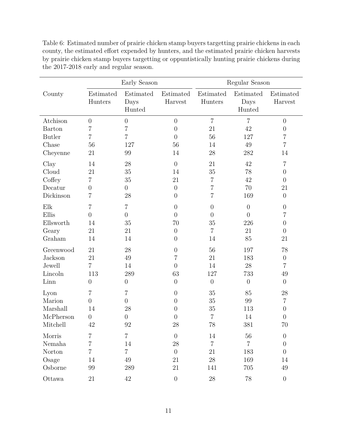|               |                      | Early Season                |                      | Regular Season       |                             |                      |  |
|---------------|----------------------|-----------------------------|----------------------|----------------------|-----------------------------|----------------------|--|
| County        | Estimated<br>Hunters | Estimated<br>Days<br>Hunted | Estimated<br>Harvest | Estimated<br>Hunters | Estimated<br>Days<br>Hunted | Estimated<br>Harvest |  |
| Atchison      | $\boldsymbol{0}$     | $\overline{0}$              | $\overline{0}$       | $\overline{7}$       | $\overline{7}$              | $\overline{0}$       |  |
| Barton        | 7                    | 7                           | $\overline{0}$       | 21                   | 42                          | $\boldsymbol{0}$     |  |
| <b>Butler</b> | 7                    | 7                           | $\theta$             | 56                   | 127                         | 7                    |  |
| Chase         | 56                   | 127                         | 56                   | 14                   | 49                          | $\overline{7}$       |  |
| Cheyenne      | 21                   | 99                          | 14                   | 28                   | 282                         | 14                   |  |
| Clay          | 14                   | 28                          | $\overline{0}$       | 21                   | 42                          | $\overline{7}$       |  |
| Cloud         | 21                   | $35\,$                      | 14                   | $35\,$               | 78                          | $\theta$             |  |
| Coffey        | 7                    | 35                          | 21                   | 7                    | 42                          | $\overline{0}$       |  |
| Decatur       | $\overline{0}$       | $\boldsymbol{0}$            | $\overline{0}$       | $\overline{7}$       | 70                          | 21                   |  |
| Dickinson     | 7                    | 28                          | $\overline{0}$       | 7                    | 169                         | $\overline{0}$       |  |
| Elk           | 7                    | 7                           | $\overline{0}$       | $\overline{0}$       | $\overline{0}$              | $\overline{0}$       |  |
| Ellis         | $\overline{0}$       | $\boldsymbol{0}$            | $\overline{0}$       | $\overline{0}$       | $\overline{0}$              | 7                    |  |
| Ellsworth     | 14                   | $35\,$                      | 70                   | $35\,$               | 226                         | $\theta$             |  |
| Geary         | 21                   | 21                          | $\overline{0}$       | $\overline{7}$       | 21                          | $\theta$             |  |
| Graham        | 14                   | 14                          | $\theta$             | 14                   | 85                          | 21                   |  |
| Greenwood     | 21                   | 28                          | $\overline{0}$       | 56                   | 197                         | 78                   |  |
| Jackson       | 21                   | 49                          | 7                    | 21                   | 183                         | $\boldsymbol{0}$     |  |
| Jewell        | $\overline{7}$       | 14                          | $\theta$             | 14                   | 28                          | 7                    |  |
| Lincoln       | 113                  | 289                         | 63                   | 127                  | 733                         | 49                   |  |
| Linn          | $\boldsymbol{0}$     | $\overline{0}$              | $\overline{0}$       | $\theta$             | $\theta$                    | $\overline{0}$       |  |
| Lyon          | 7                    | 7                           | $\theta$             | 35                   | 85                          | 28                   |  |
| Marion        | $\overline{0}$       | $\boldsymbol{0}$            | $\overline{0}$       | 35                   | 99                          | $\overline{7}$       |  |
| Marshall      | 14                   | 28                          | $\theta$             | 35                   | 113                         | $\theta$             |  |
| McPherson     | $\boldsymbol{0}$     | $\boldsymbol{0}$            | $\overline{0}$       | 7                    | 14                          | $\boldsymbol{0}$     |  |
| Mitchell      | 42                   | $\boldsymbol{92}$           | $28\,$               | $78\,$               | 381                         | $70\,$               |  |
| Morris        | 7                    | $\overline{7}$              | $\overline{0}$       | 14                   | 56                          | $\boldsymbol{0}$     |  |
| Nemaha        | $\overline{7}$       | 14                          | $28\,$               | $\overline{7}$       | $\overline{7}$              | $\theta$             |  |
| Norton        | $\overline{7}$       | $\overline{7}$              | $\overline{0}$       | 21                   | 183                         | $\overline{0}$       |  |
| Osage         | 14                   | 49                          | 21                   | $28\,$               | 169                         | 14                   |  |
| Osborne       | 99                   | 289                         | 21                   | 141                  | 705                         | $49\,$               |  |
| Ottawa        | 21                   | $42\,$                      | $\overline{0}$       | $28\,$               | $78\,$                      | $\boldsymbol{0}$     |  |

Table 6: Estimated number of prairie chicken stamp buyers targetting prairie chickens in each county, the estimated effort expended by hunters, and the estimated prairie chicken harvests by prairie chicken stamp buyers targetting or oppuntistically hunting prairie chickens during the 2017-2018 early and regular season.